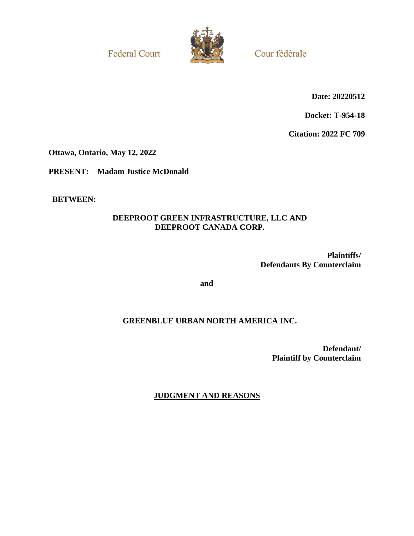**Federal Court** 



Cour fédérale

**Date: 20220512**

**Docket: T-954-18**

**Citation: 2022 FC 709**

**Ottawa, Ontario, May 12, 2022**

**PRESENT: Madam Justice McDonald**

**BETWEEN:**

# **DEEPROOT GREEN INFRASTRUCTURE, LLC AND DEEPROOT CANADA CORP.**

**Plaintiffs/ Defendants By Counterclaim**

**and**

# **GREENBLUE URBAN NORTH AMERICA INC.**

**Defendant/ Plaintiff by Counterclaim**

**JUDGMENT AND REASONS**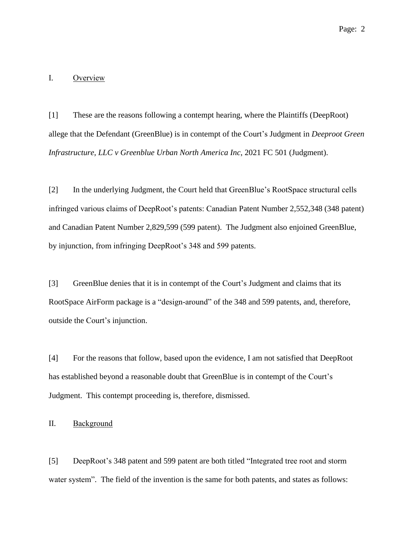### I. Overview

[1] These are the reasons following a contempt hearing, where the Plaintiffs (DeepRoot) allege that the Defendant (GreenBlue) is in contempt of the Court's Judgment in *Deeproot Green Infrastructure, LLC v Greenblue Urban North America Inc*, 2021 FC 501 (Judgment).

[2] In the underlying Judgment, the Court held that GreenBlue's RootSpace structural cells infringed various claims of DeepRoot's patents: Canadian Patent Number 2,552,348 (348 patent) and Canadian Patent Number 2,829,599 (599 patent). The Judgment also enjoined GreenBlue, by injunction, from infringing DeepRoot's 348 and 599 patents.

[3] GreenBlue denies that it is in contempt of the Court's Judgment and claims that its RootSpace AirForm package is a "design-around" of the 348 and 599 patents, and, therefore, outside the Court's injunction.

[4] For the reasons that follow, based upon the evidence, I am not satisfied that DeepRoot has established beyond a reasonable doubt that GreenBlue is in contempt of the Court's Judgment. This contempt proceeding is, therefore, dismissed.

II. Background

[5] DeepRoot's 348 patent and 599 patent are both titled "Integrated tree root and storm water system". The field of the invention is the same for both patents, and states as follows: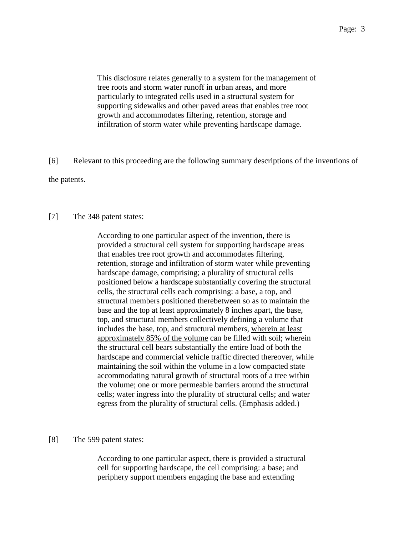This disclosure relates generally to a system for the management of tree roots and storm water runoff in urban areas, and more particularly to integrated cells used in a structural system for supporting sidewalks and other paved areas that enables tree root growth and accommodates filtering, retention, storage and infiltration of storm water while preventing hardscape damage.

[6] Relevant to this proceeding are the following summary descriptions of the inventions of the patents.

### [7] The 348 patent states:

According to one particular aspect of the invention, there is provided a structural cell system for supporting hardscape areas that enables tree root growth and accommodates filtering, retention, storage and infiltration of storm water while preventing hardscape damage, comprising; a plurality of structural cells positioned below a hardscape substantially covering the structural cells, the structural cells each comprising: a base, a top, and structural members positioned therebetween so as to maintain the base and the top at least approximately 8 inches apart, the base, top, and structural members collectively defining a volume that includes the base, top, and structural members, wherein at least approximately 85% of the volume can be filled with soil; wherein the structural cell bears substantially the entire load of both the hardscape and commercial vehicle traffic directed thereover, while maintaining the soil within the volume in a low compacted state accommodating natural growth of structural roots of a tree within the volume; one or more permeable barriers around the structural cells; water ingress into the plurality of structural cells; and water egress from the plurality of structural cells. (Emphasis added.)

[8] The 599 patent states:

According to one particular aspect, there is provided a structural cell for supporting hardscape, the cell comprising: a base; and periphery support members engaging the base and extending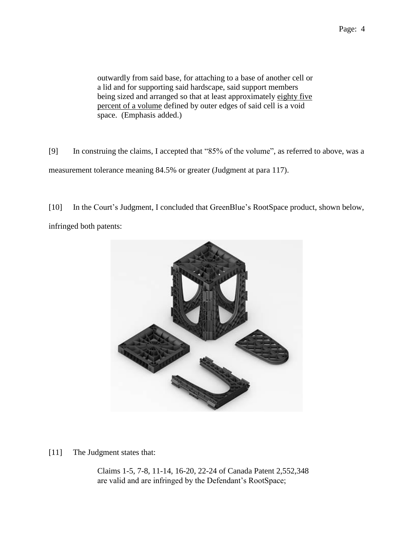outwardly from said base, for attaching to a base of another cell or a lid and for supporting said hardscape, said support members being sized and arranged so that at least approximately eighty five percent of a volume defined by outer edges of said cell is a void space. (Emphasis added.)

[9] In construing the claims, I accepted that "85% of the volume", as referred to above, was a measurement tolerance meaning 84.5% or greater (Judgment at para 117).

[10] In the Court's Judgment, I concluded that GreenBlue's RootSpace product, shown below, infringed both patents:



[11] The Judgment states that:

Claims 1-5, 7-8, 11-14, 16-20, 22-24 of Canada Patent 2,552,348 are valid and are infringed by the Defendant's RootSpace;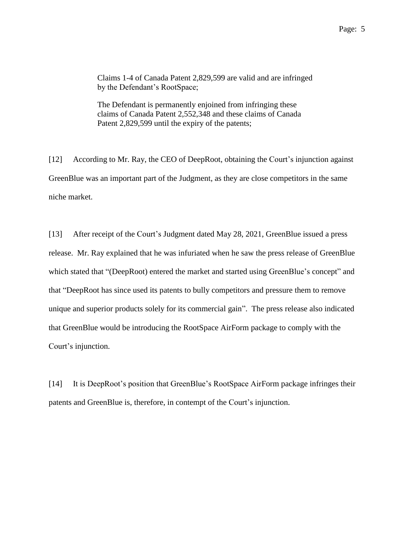Claims 1-4 of Canada Patent 2,829,599 are valid and are infringed by the Defendant's RootSpace;

The Defendant is permanently enjoined from infringing these claims of Canada Patent 2,552,348 and these claims of Canada Patent 2,829,599 until the expiry of the patents;

[12] According to Mr. Ray, the CEO of DeepRoot, obtaining the Court's injunction against GreenBlue was an important part of the Judgment, as they are close competitors in the same niche market.

[13] After receipt of the Court's Judgment dated May 28, 2021, GreenBlue issued a press release. Mr. Ray explained that he was infuriated when he saw the press release of GreenBlue which stated that "(DeepRoot) entered the market and started using GreenBlue's concept" and that "DeepRoot has since used its patents to bully competitors and pressure them to remove unique and superior products solely for its commercial gain". The press release also indicated that GreenBlue would be introducing the RootSpace AirForm package to comply with the Court's injunction.

[14] It is DeepRoot's position that GreenBlue's RootSpace AirForm package infringes their patents and GreenBlue is, therefore, in contempt of the Court's injunction.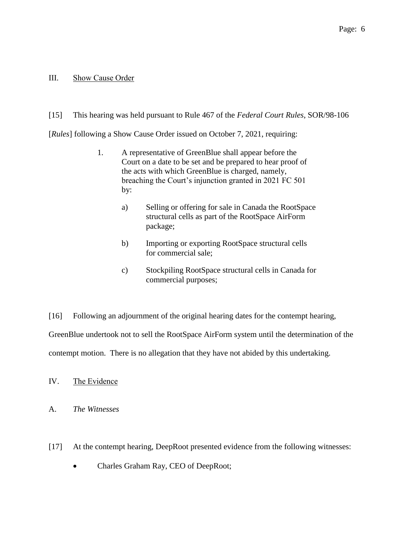### III. Show Cause Order

## [15] This hearing was held pursuant to Rule 467 of the *Federal Court Rules*, SOR/98-106

[*Rules*] following a Show Cause Order issued on October 7, 2021, requiring:

- 1. A representative of GreenBlue shall appear before the Court on a date to be set and be prepared to hear proof of the acts with which GreenBlue is charged, namely, breaching the Court's injunction granted in 2021 FC 501 by:
	- a) Selling or offering for sale in Canada the RootSpace structural cells as part of the RootSpace AirForm package;
	- b) Importing or exporting RootSpace structural cells for commercial sale;
	- c) Stockpiling RootSpace structural cells in Canada for commercial purposes;

[16] Following an adjournment of the original hearing dates for the contempt hearing, GreenBlue undertook not to sell the RootSpace AirForm system until the determination of the contempt motion. There is no allegation that they have not abided by this undertaking.

IV. The Evidence

A. *The Witnesses* 

- [17] At the contempt hearing, DeepRoot presented evidence from the following witnesses:
	- Charles Graham Ray, CEO of DeepRoot;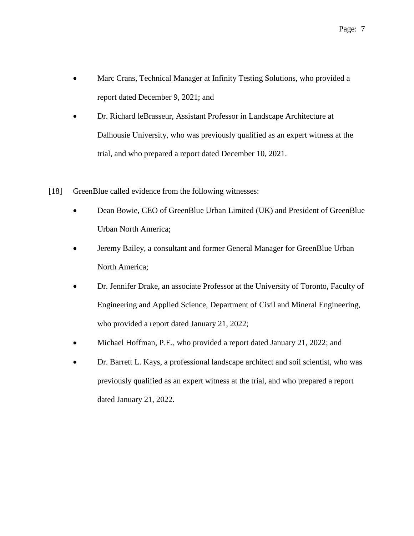- Marc Crans, Technical Manager at Infinity Testing Solutions, who provided a report dated December 9, 2021; and
- Dr. Richard leBrasseur, Assistant Professor in Landscape Architecture at Dalhousie University, who was previously qualified as an expert witness at the trial, and who prepared a report dated December 10, 2021.
- [18] GreenBlue called evidence from the following witnesses:
	- Dean Bowie, CEO of GreenBlue Urban Limited (UK) and President of GreenBlue Urban North America;
	- Jeremy Bailey, a consultant and former General Manager for GreenBlue Urban North America;
	- Dr. Jennifer Drake, an associate Professor at the University of Toronto, Faculty of Engineering and Applied Science, Department of Civil and Mineral Engineering, who provided a report dated January 21, 2022;
	- Michael Hoffman, P.E., who provided a report dated January 21, 2022; and
	- Dr. Barrett L. Kays, a professional landscape architect and soil scientist, who was previously qualified as an expert witness at the trial, and who prepared a report dated January 21, 2022.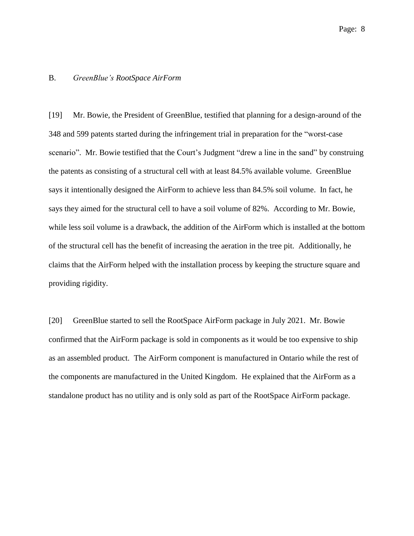### B. *GreenBlue's RootSpace AirForm*

[19] Mr. Bowie, the President of GreenBlue, testified that planning for a design-around of the 348 and 599 patents started during the infringement trial in preparation for the "worst-case scenario". Mr. Bowie testified that the Court's Judgment "drew a line in the sand" by construing the patents as consisting of a structural cell with at least 84.5% available volume. GreenBlue says it intentionally designed the AirForm to achieve less than 84.5% soil volume. In fact, he says they aimed for the structural cell to have a soil volume of 82%. According to Mr. Bowie, while less soil volume is a drawback, the addition of the AirForm which is installed at the bottom of the structural cell has the benefit of increasing the aeration in the tree pit. Additionally, he claims that the AirForm helped with the installation process by keeping the structure square and providing rigidity.

[20] GreenBlue started to sell the RootSpace AirForm package in July 2021. Mr. Bowie confirmed that the AirForm package is sold in components as it would be too expensive to ship as an assembled product. The AirForm component is manufactured in Ontario while the rest of the components are manufactured in the United Kingdom. He explained that the AirForm as a standalone product has no utility and is only sold as part of the RootSpace AirForm package.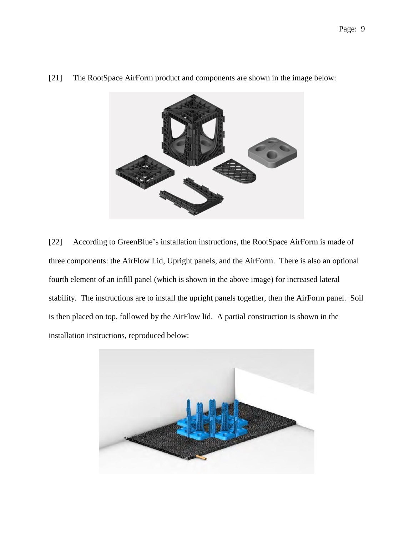

[21] The RootSpace AirForm product and components are shown in the image below:

[22] According to GreenBlue's installation instructions, the RootSpace AirForm is made of three components: the AirFlow Lid, Upright panels, and the AirForm. There is also an optional fourth element of an infill panel (which is shown in the above image) for increased lateral stability. The instructions are to install the upright panels together, then the AirForm panel. Soil is then placed on top, followed by the AirFlow lid. A partial construction is shown in the installation instructions, reproduced below:

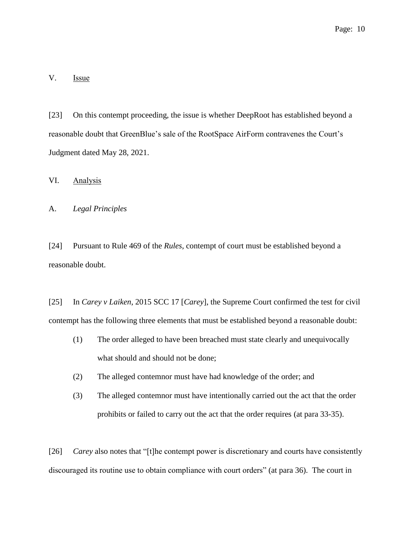V. Issue

[23] On this contempt proceeding, the issue is whether DeepRoot has established beyond a reasonable doubt that GreenBlue's sale of the RootSpace AirForm contravenes the Court's Judgment dated May 28, 2021.

VI. Analysis

A. *Legal Principles*

[24] Pursuant to Rule 469 of the *Rules*, contempt of court must be established beyond a reasonable doubt.

[25] In *Carey v Laiken*, 2015 SCC 17 [*Carey*], the Supreme Court confirmed the test for civil contempt has the following three elements that must be established beyond a reasonable doubt:

- (1) The order alleged to have been breached must state clearly and unequivocally what should and should not be done;
- (2) The alleged contemnor must have had knowledge of the order; and
- (3) The alleged contemnor must have intentionally carried out the act that the order prohibits or failed to carry out the act that the order requires (at para 33-35).

[26] *Carey* also notes that "[t]he contempt power is discretionary and courts have consistently discouraged its routine use to obtain compliance with court orders" (at para 36). The court in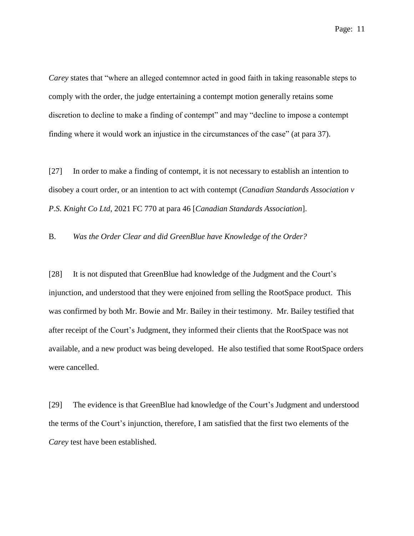*Carey* states that "where an alleged contemnor acted in good faith in taking reasonable steps to comply with the order, the judge entertaining a contempt motion generally retains some discretion to decline to make a finding of contempt" and may "decline to impose a contempt finding where it would work an injustice in the circumstances of the case" (at para 37).

[27] In order to make a finding of contempt, it is not necessary to establish an intention to disobey a court order, or an intention to act with contempt (*Canadian Standards Association v P.S. Knight Co Ltd*, 2021 FC 770 at para 46 [*Canadian Standards Association*].

B. *Was the Order Clear and did GreenBlue have Knowledge of the Order?* 

[28] It is not disputed that GreenBlue had knowledge of the Judgment and the Court's injunction, and understood that they were enjoined from selling the RootSpace product. This was confirmed by both Mr. Bowie and Mr. Bailey in their testimony. Mr. Bailey testified that after receipt of the Court's Judgment, they informed their clients that the RootSpace was not available, and a new product was being developed. He also testified that some RootSpace orders were cancelled.

[29] The evidence is that GreenBlue had knowledge of the Court's Judgment and understood the terms of the Court's injunction, therefore, I am satisfied that the first two elements of the *Carey* test have been established.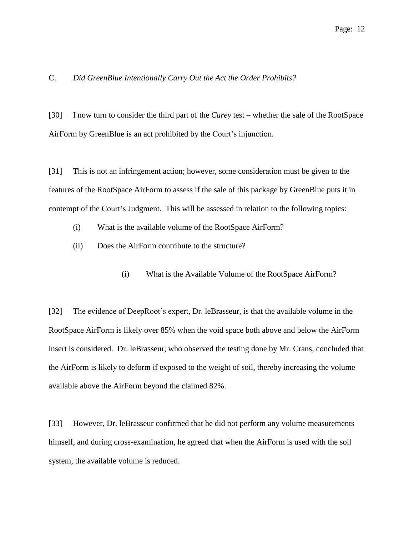### C. *Did GreenBlue Intentionally Carry Out the Act the Order Prohibits?*

[30] I now turn to consider the third part of the *Carey* test – whether the sale of the RootSpace AirForm by GreenBlue is an act prohibited by the Court's injunction.

[31] This is not an infringement action; however, some consideration must be given to the features of the RootSpace AirForm to assess if the sale of this package by GreenBlue puts it in contempt of the Court's Judgment. This will be assessed in relation to the following topics:

- (i) What is the available volume of the RootSpace AirForm?
- (ii) Does the AirForm contribute to the structure?
	- (i) What is the Available Volume of the RootSpace AirForm?

[32] The evidence of DeepRoot's expert, Dr. leBrasseur, is that the available volume in the RootSpace AirForm is likely over 85% when the void space both above and below the AirForm insert is considered. Dr. leBrasseur, who observed the testing done by Mr. Crans, concluded that the AirForm is likely to deform if exposed to the weight of soil, thereby increasing the volume available above the AirForm beyond the claimed 82%.

[33] However, Dr. leBrasseur confirmed that he did not perform any volume measurements himself, and during cross-examination, he agreed that when the AirForm is used with the soil system, the available volume is reduced.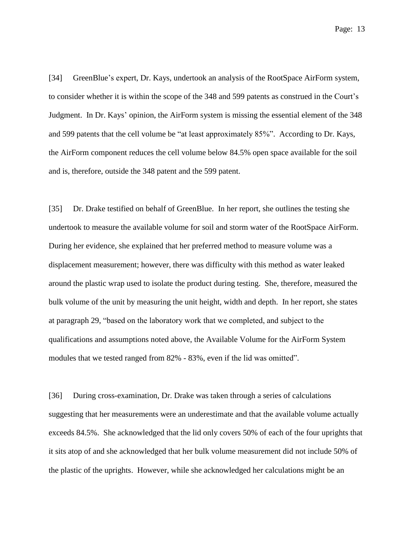[34] GreenBlue's expert, Dr. Kays, undertook an analysis of the RootSpace AirForm system, to consider whether it is within the scope of the 348 and 599 patents as construed in the Court's Judgment. In Dr. Kays' opinion, the AirForm system is missing the essential element of the 348 and 599 patents that the cell volume be "at least approximately 85%". According to Dr. Kays, the AirForm component reduces the cell volume below 84.5% open space available for the soil and is, therefore, outside the 348 patent and the 599 patent.

[35] Dr. Drake testified on behalf of GreenBlue. In her report, she outlines the testing she undertook to measure the available volume for soil and storm water of the RootSpace AirForm. During her evidence, she explained that her preferred method to measure volume was a displacement measurement; however, there was difficulty with this method as water leaked around the plastic wrap used to isolate the product during testing. She, therefore, measured the bulk volume of the unit by measuring the unit height, width and depth. In her report, she states at paragraph 29, "based on the laboratory work that we completed, and subject to the qualifications and assumptions noted above, the Available Volume for the AirForm System modules that we tested ranged from 82% - 83%, even if the lid was omitted".

[36] During cross-examination, Dr. Drake was taken through a series of calculations suggesting that her measurements were an underestimate and that the available volume actually exceeds 84.5%. She acknowledged that the lid only covers 50% of each of the four uprights that it sits atop of and she acknowledged that her bulk volume measurement did not include 50% of the plastic of the uprights. However, while she acknowledged her calculations might be an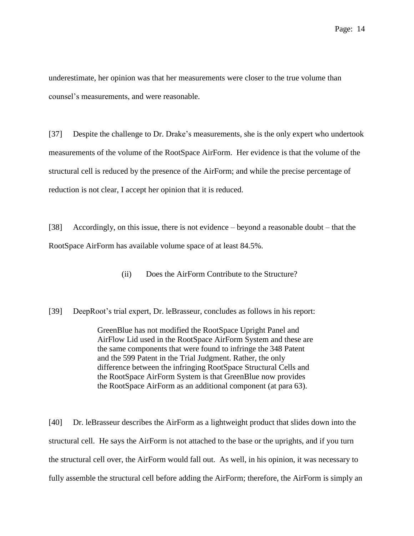underestimate, her opinion was that her measurements were closer to the true volume than counsel's measurements, and were reasonable.

[37] Despite the challenge to Dr. Drake's measurements, she is the only expert who undertook measurements of the volume of the RootSpace AirForm. Her evidence is that the volume of the structural cell is reduced by the presence of the AirForm; and while the precise percentage of reduction is not clear, I accept her opinion that it is reduced.

[38] Accordingly, on this issue, there is not evidence – beyond a reasonable doubt – that the RootSpace AirForm has available volume space of at least 84.5%.

(ii) Does the AirForm Contribute to the Structure?

[39] DeepRoot's trial expert, Dr. leBrasseur, concludes as follows in his report:

GreenBlue has not modified the RootSpace Upright Panel and AirFlow Lid used in the RootSpace AirForm System and these are the same components that were found to infringe the 348 Patent and the 599 Patent in the Trial Judgment. Rather, the only difference between the infringing RootSpace Structural Cells and the RootSpace AirForm System is that GreenBlue now provides the RootSpace AirForm as an additional component (at para 63).

[40] Dr. leBrasseur describes the AirForm as a lightweight product that slides down into the structural cell. He says the AirForm is not attached to the base or the uprights, and if you turn the structural cell over, the AirForm would fall out. As well, in his opinion, it was necessary to fully assemble the structural cell before adding the AirForm; therefore, the AirForm is simply an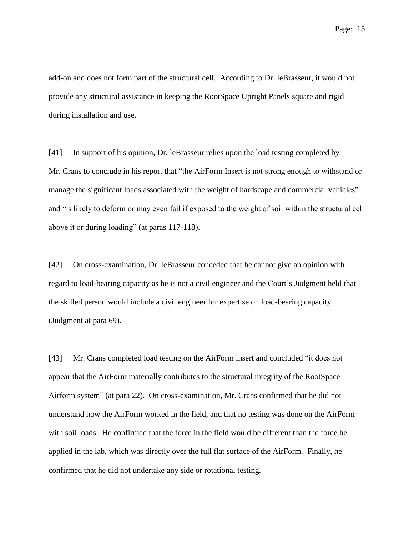add-on and does not form part of the structural cell. According to Dr. leBrasseur, it would not provide any structural assistance in keeping the RootSpace Upright Panels square and rigid during installation and use.

[41] In support of his opinion, Dr. leBrasseur relies upon the load testing completed by Mr. Crans to conclude in his report that "the AirForm Insert is not strong enough to withstand or manage the significant loads associated with the weight of hardscape and commercial vehicles" and "is likely to deform or may even fail if exposed to the weight of soil within the structural cell above it or during loading" (at paras 117-118).

[42] On cross-examination, Dr. leBrasseur conceded that he cannot give an opinion with regard to load-bearing capacity as he is not a civil engineer and the Court's Judgment held that the skilled person would include a civil engineer for expertise on load-bearing capacity (Judgment at para 69).

[43] Mr. Crans completed load testing on the AirForm insert and concluded "it does not appear that the AirForm materially contributes to the structural integrity of the RootSpace Airform system" (at para 22). On cross-examination, Mr. Crans confirmed that he did not understand how the AirForm worked in the field, and that no testing was done on the AirForm with soil loads. He confirmed that the force in the field would be different than the force he applied in the lab, which was directly over the full flat surface of the AirForm. Finally, he confirmed that he did not undertake any side or rotational testing.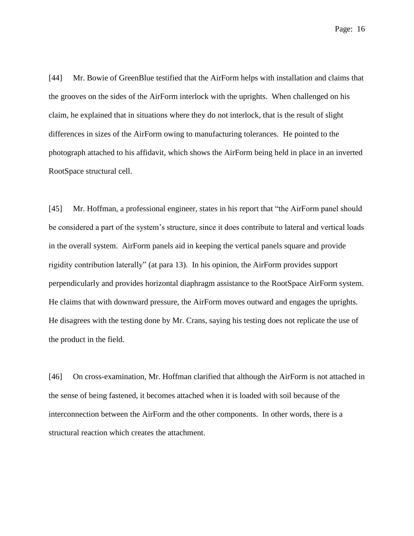[44] Mr. Bowie of GreenBlue testified that the AirForm helps with installation and claims that the grooves on the sides of the AirForm interlock with the uprights. When challenged on his claim, he explained that in situations where they do not interlock, that is the result of slight differences in sizes of the AirForm owing to manufacturing tolerances. He pointed to the photograph attached to his affidavit, which shows the AirForm being held in place in an inverted RootSpace structural cell.

[45] Mr. Hoffman, a professional engineer, states in his report that "the AirForm panel should be considered a part of the system's structure, since it does contribute to lateral and vertical loads in the overall system. AirForm panels aid in keeping the vertical panels square and provide rigidity contribution laterally" (at para 13). In his opinion, the AirForm provides support perpendicularly and provides horizontal diaphragm assistance to the RootSpace AirForm system. He claims that with downward pressure, the AirForm moves outward and engages the uprights. He disagrees with the testing done by Mr. Crans, saying his testing does not replicate the use of the product in the field.

[46] On cross-examination, Mr. Hoffman clarified that although the AirForm is not attached in the sense of being fastened, it becomes attached when it is loaded with soil because of the interconnection between the AirForm and the other components. In other words, there is a structural reaction which creates the attachment.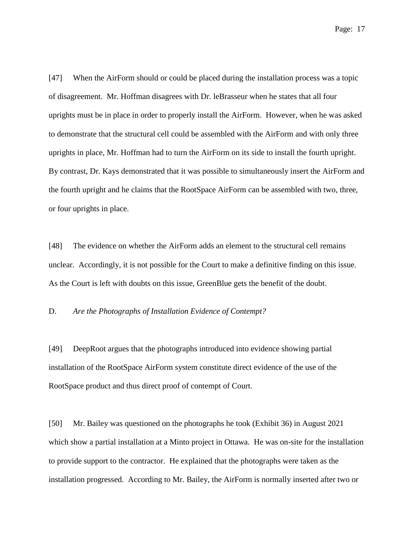[47] When the AirForm should or could be placed during the installation process was a topic of disagreement. Mr. Hoffman disagrees with Dr. leBrasseur when he states that all four uprights must be in place in order to properly install the AirForm. However, when he was asked to demonstrate that the structural cell could be assembled with the AirForm and with only three uprights in place, Mr. Hoffman had to turn the AirForm on its side to install the fourth upright. By contrast, Dr. Kays demonstrated that it was possible to simultaneously insert the AirForm and the fourth upright and he claims that the RootSpace AirForm can be assembled with two, three, or four uprights in place.

[48] The evidence on whether the AirForm adds an element to the structural cell remains unclear. Accordingly, it is not possible for the Court to make a definitive finding on this issue. As the Court is left with doubts on this issue, GreenBlue gets the benefit of the doubt.

D. *Are the Photographs of Installation Evidence of Contempt?*

[49] DeepRoot argues that the photographs introduced into evidence showing partial installation of the RootSpace AirForm system constitute direct evidence of the use of the RootSpace product and thus direct proof of contempt of Court.

[50] Mr. Bailey was questioned on the photographs he took (Exhibit 36) in August 2021 which show a partial installation at a Minto project in Ottawa. He was on-site for the installation to provide support to the contractor. He explained that the photographs were taken as the installation progressed. According to Mr. Bailey, the AirForm is normally inserted after two or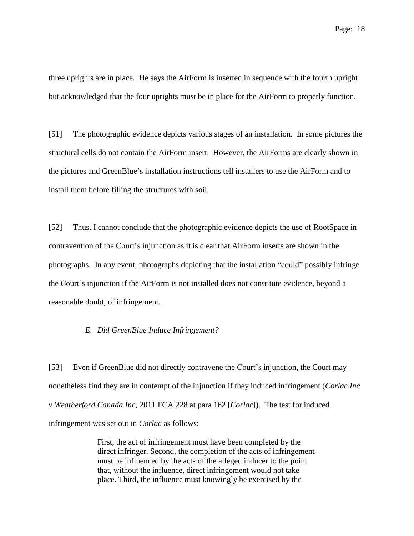three uprights are in place. He says the AirForm is inserted in sequence with the fourth upright but acknowledged that the four uprights must be in place for the AirForm to properly function.

[51] The photographic evidence depicts various stages of an installation. In some pictures the structural cells do not contain the AirForm insert. However, the AirForms are clearly shown in the pictures and GreenBlue's installation instructions tell installers to use the AirForm and to install them before filling the structures with soil.

[52] Thus, I cannot conclude that the photographic evidence depicts the use of RootSpace in contravention of the Court's injunction as it is clear that AirForm inserts are shown in the photographs. In any event, photographs depicting that the installation "could" possibly infringe the Court's injunction if the AirForm is not installed does not constitute evidence, beyond a reasonable doubt, of infringement.

#### *E. Did GreenBlue Induce Infringement?*

[53] Even if GreenBlue did not directly contravene the Court's injunction, the Court may nonetheless find they are in contempt of the injunction if they induced infringement (*Corlac Inc v Weatherford Canada Inc*, 2011 FCA 228 at para 162 [*Corlac*]). The test for induced infringement was set out in *Corlac* as follows:

> First, the act of infringement must have been completed by the direct infringer. Second, the completion of the acts of infringement must be influenced by the acts of the alleged inducer to the point that, without the influence, direct infringement would not take place. Third, the influence must knowingly be exercised by the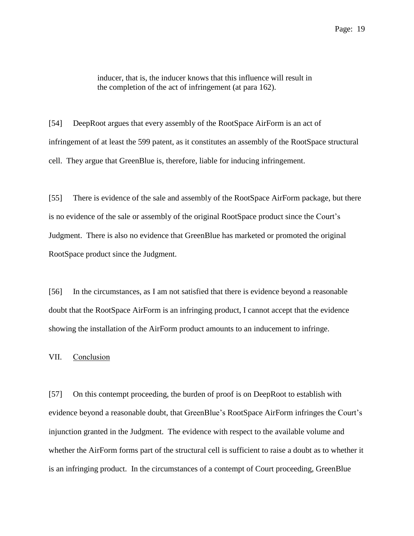inducer, that is, the inducer knows that this influence will result in the completion of the act of infringement (at para 162).

[54] DeepRoot argues that every assembly of the RootSpace AirForm is an act of infringement of at least the 599 patent, as it constitutes an assembly of the RootSpace structural cell. They argue that GreenBlue is, therefore, liable for inducing infringement.

[55] There is evidence of the sale and assembly of the RootSpace AirForm package, but there is no evidence of the sale or assembly of the original RootSpace product since the Court's Judgment. There is also no evidence that GreenBlue has marketed or promoted the original RootSpace product since the Judgment.

[56] In the circumstances, as I am not satisfied that there is evidence beyond a reasonable doubt that the RootSpace AirForm is an infringing product, I cannot accept that the evidence showing the installation of the AirForm product amounts to an inducement to infringe.

VII. Conclusion

[57] On this contempt proceeding, the burden of proof is on DeepRoot to establish with evidence beyond a reasonable doubt, that GreenBlue's RootSpace AirForm infringes the Court's injunction granted in the Judgment. The evidence with respect to the available volume and whether the AirForm forms part of the structural cell is sufficient to raise a doubt as to whether it is an infringing product. In the circumstances of a contempt of Court proceeding, GreenBlue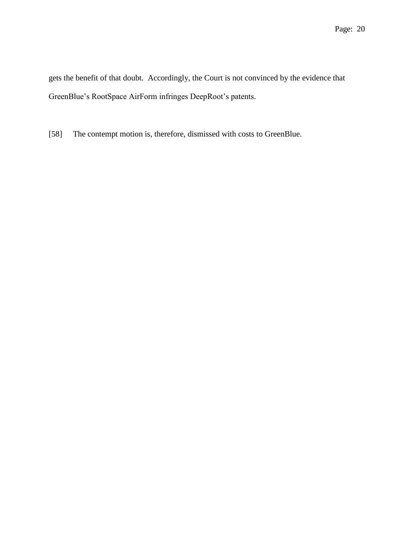gets the benefit of that doubt. Accordingly, the Court is not convinced by the evidence that GreenBlue's RootSpace AirForm infringes DeepRoot's patents.

[58] The contempt motion is, therefore, dismissed with costs to GreenBlue.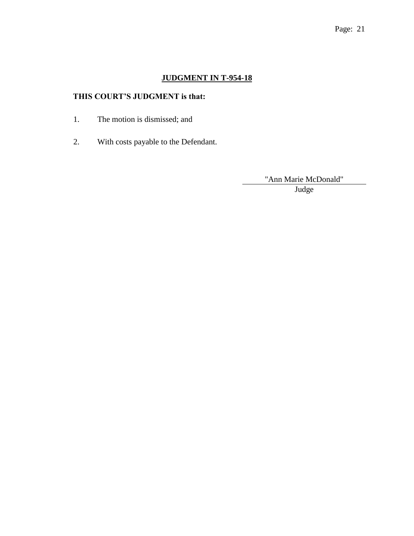# **JUDGMENT IN T-954-18**

# **THIS COURT'S JUDGMENT is that:**

- 1. The motion is dismissed; and
- 2. With costs payable to the Defendant.

"Ann Marie McDonald"

Judge